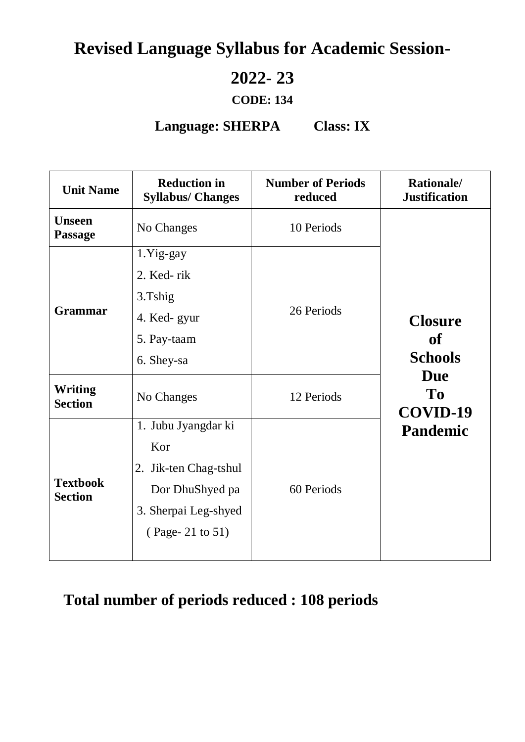# **Revised Language Syllabus for Academic Session-**

## **2022- 23**

### **CODE: 134**

### **Language: SHERPA Class: IX**

| <b>Unit Name</b>                  | <b>Reduction in</b><br><b>Syllabus/ Changes</b> | <b>Number of Periods</b><br>reduced | Rationale/<br><b>Justification</b>                                                                           |  |
|-----------------------------------|-------------------------------------------------|-------------------------------------|--------------------------------------------------------------------------------------------------------------|--|
| <b>Unseen</b><br><b>Passage</b>   | No Changes                                      | 10 Periods                          |                                                                                                              |  |
|                                   | 1.Yig-gay                                       | 26 Periods                          |                                                                                                              |  |
| <b>Grammar</b>                    | 2. Ked-rik                                      |                                     | <b>Closure</b><br><b>of</b><br><b>Schools</b><br><b>Due</b><br>T <sub>0</sub><br>COVID-19<br><b>Pandemic</b> |  |
|                                   | 3.Tshig                                         |                                     |                                                                                                              |  |
|                                   | 4. Ked-gyur                                     |                                     |                                                                                                              |  |
|                                   | 5. Pay-taam                                     |                                     |                                                                                                              |  |
|                                   | 6. Shey-sa                                      |                                     |                                                                                                              |  |
| <b>Writing</b><br><b>Section</b>  | No Changes                                      | 12 Periods                          |                                                                                                              |  |
| <b>Textbook</b><br><b>Section</b> | 1. Jubu Jyangdar ki                             | 60 Periods                          |                                                                                                              |  |
|                                   | Kor                                             |                                     |                                                                                                              |  |
|                                   | 2. Jik-ten Chag-tshul                           |                                     |                                                                                                              |  |
|                                   | Dor DhuShyed pa                                 |                                     |                                                                                                              |  |
|                                   | 3. Sherpai Leg-shyed                            |                                     |                                                                                                              |  |
|                                   | (Page-21 to 51)                                 |                                     |                                                                                                              |  |
|                                   |                                                 |                                     |                                                                                                              |  |

## **Total number of periods reduced : 108 periods**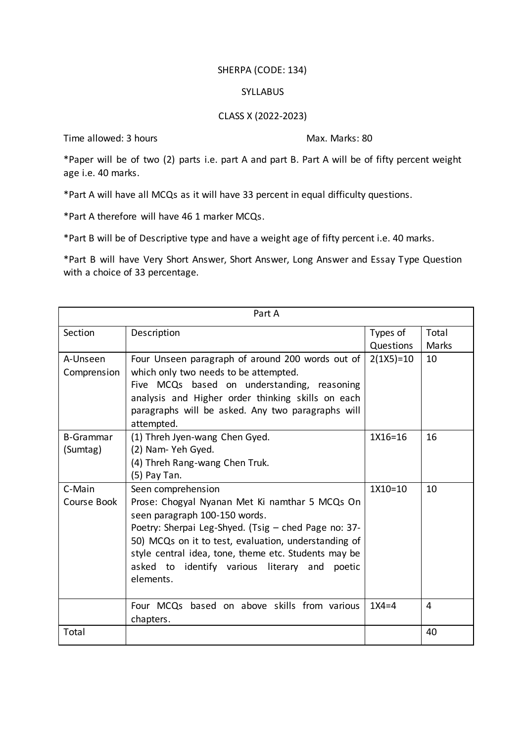#### SHERPA (CODE: 134)

#### SYLLABUS

#### CLASS X (2022-2023)

Time allowed: 3 hours Max. Marks: 80

\*Paper will be of two (2) parts i.e. part A and part B. Part A will be of fifty percent weight age i.e. 40 marks.

\*Part A will have all MCQs as it will have 33 percent in equal difficulty questions.

\*Part A therefore will have 46 1 marker MCQs.

\*Part B will be of Descriptive type and have a weight age of fifty percent i.e. 40 marks.

\*Part B will have Very Short Answer, Short Answer, Long Answer and Essay Type Question with a choice of 33 percentage.

| Part A           |                                                      |             |       |  |  |
|------------------|------------------------------------------------------|-------------|-------|--|--|
| Section          | Description                                          |             | Total |  |  |
|                  |                                                      | Questions   | Marks |  |  |
| A-Unseen         | Four Unseen paragraph of around 200 words out of     | $2(1X5)=10$ | 10    |  |  |
| Comprension      | which only two needs to be attempted.                |             |       |  |  |
|                  | Five MCQs based on understanding, reasoning          |             |       |  |  |
|                  | analysis and Higher order thinking skills on each    |             |       |  |  |
|                  | paragraphs will be asked. Any two paragraphs will    |             |       |  |  |
|                  | attempted.                                           |             |       |  |  |
| <b>B-Grammar</b> | (1) Threh Jyen-wang Chen Gyed.                       | 1X16=16     | 16    |  |  |
| (Sumtag)         | (2) Nam-Yeh Gyed.                                    |             |       |  |  |
|                  | (4) Threh Rang-wang Chen Truk.                       |             |       |  |  |
|                  | (5) Pay Tan.                                         |             |       |  |  |
| C-Main           | Seen comprehension                                   | 1X10=10     | 10    |  |  |
| Course Book      | Prose: Chogyal Nyanan Met Ki namthar 5 MCQs On       |             |       |  |  |
|                  | seen paragraph 100-150 words.                        |             |       |  |  |
|                  | Poetry: Sherpai Leg-Shyed. (Tsig - ched Page no: 37- |             |       |  |  |
|                  | 50) MCQs on it to test, evaluation, understanding of |             |       |  |  |
|                  | style central idea, tone, theme etc. Students may be |             |       |  |  |
|                  | asked to identify various literary and<br>poetic     |             |       |  |  |
|                  | elements.                                            |             |       |  |  |
|                  |                                                      |             |       |  |  |
|                  | Four MCQs based on above skills from various         | $1X4=4$     | 4     |  |  |
|                  | chapters.                                            |             |       |  |  |
| Total            |                                                      |             | 40    |  |  |